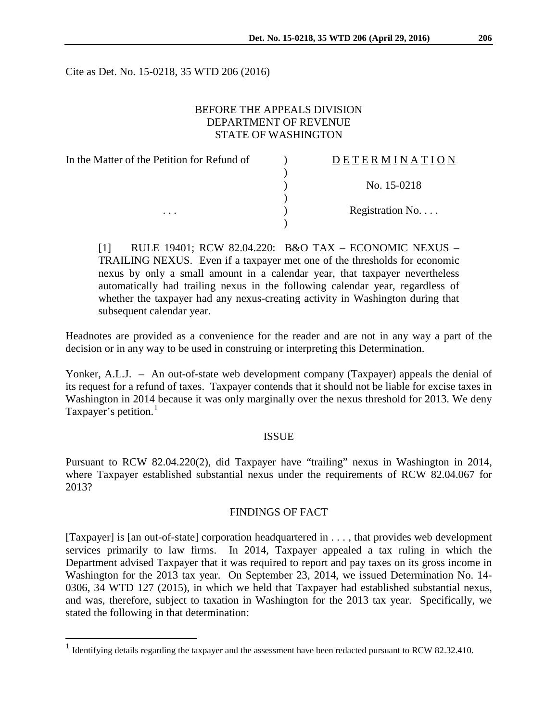Cite as Det. No. 15-0218, 35 WTD 206 (2016)

### BEFORE THE APPEALS DIVISION DEPARTMENT OF REVENUE STATE OF WASHINGTON

| In the Matter of the Petition for Refund of | DETERMINATION   |
|---------------------------------------------|-----------------|
|                                             |                 |
|                                             | No. 15-0218     |
|                                             |                 |
| $\cdots$                                    | Registration No |
|                                             |                 |

[1] RULE 19401; RCW 82.04.220: B&O TAX – ECONOMIC NEXUS – TRAILING NEXUS. Even if a taxpayer met one of the thresholds for economic nexus by only a small amount in a calendar year, that taxpayer nevertheless automatically had trailing nexus in the following calendar year, regardless of whether the taxpayer had any nexus-creating activity in Washington during that subsequent calendar year.

Headnotes are provided as a convenience for the reader and are not in any way a part of the decision or in any way to be used in construing or interpreting this Determination.

Yonker, A.L.J. – An out-of-state web development company (Taxpayer) appeals the denial of its request for a refund of taxes. Taxpayer contends that it should not be liable for excise taxes in Washington in 2014 because it was only marginally over the nexus threshold for 2013. We deny Taxpayer's petition. $<sup>1</sup>$  $<sup>1</sup>$  $<sup>1</sup>$ </sup>

#### ISSUE

Pursuant to RCW 82.04.220(2), did Taxpayer have "trailing" nexus in Washington in 2014, where Taxpayer established substantial nexus under the requirements of RCW 82.04.067 for 2013?

#### FINDINGS OF FACT

[Taxpayer] is [an out-of-state] corporation headquartered in . . . , that provides web development services primarily to law firms. In 2014, Taxpayer appealed a tax ruling in which the Department advised Taxpayer that it was required to report and pay taxes on its gross income in Washington for the 2013 tax year. On September 23, 2014, we issued Determination No. 14- 0306, 34 WTD 127 (2015), in which we held that Taxpayer had established substantial nexus, and was, therefore, subject to taxation in Washington for the 2013 tax year. Specifically, we stated the following in that determination:

<span id="page-0-0"></span><sup>&</sup>lt;sup>1</sup> Identifying details regarding the taxpayer and the assessment have been redacted pursuant to RCW 82.32.410.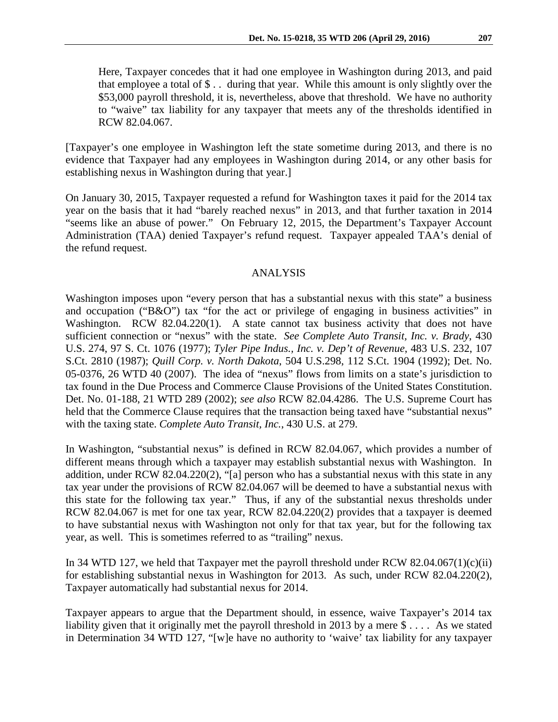Here, Taxpayer concedes that it had one employee in Washington during 2013, and paid that employee a total of \$ . . during that year. While this amount is only slightly over the \$53,000 payroll threshold, it is, nevertheless, above that threshold. We have no authority to "waive" tax liability for any taxpayer that meets any of the thresholds identified in RCW 82.04.067.

[Taxpayer's one employee in Washington left the state sometime during 2013, and there is no evidence that Taxpayer had any employees in Washington during 2014, or any other basis for establishing nexus in Washington during that year.]

On January 30, 2015, Taxpayer requested a refund for Washington taxes it paid for the 2014 tax year on the basis that it had "barely reached nexus" in 2013, and that further taxation in 2014 "seems like an abuse of power." On February 12, 2015, the Department's Taxpayer Account Administration (TAA) denied Taxpayer's refund request. Taxpayer appealed TAA's denial of the refund request.

## ANALYSIS

Washington imposes upon "every person that has a substantial nexus with this state" a business and occupation ("B&O") tax "for the act or privilege of engaging in business activities" in Washington. RCW 82.04.220(1). A state cannot tax business activity that does not have sufficient connection or "nexus" with the state. *See Complete Auto Transit, Inc. v. Brady*, 430 U.S. 274, 97 S. Ct. 1076 (1977); *Tyler Pipe Indus., Inc. v. Dep't of Revenue*, 483 U.S. 232, 107 S.Ct. 2810 (1987); *Quill Corp. v. North Dakota*, 504 U.S.298, 112 S.Ct. 1904 (1992); Det. No. 05-0376, 26 WTD 40 (2007). The idea of "nexus" flows from limits on a state's jurisdiction to tax found in the Due Process and Commerce Clause Provisions of the United States Constitution. Det. No. 01-188, 21 WTD 289 (2002); *see also* RCW 82.04.4286. The U.S. Supreme Court has held that the Commerce Clause requires that the transaction being taxed have "substantial nexus" with the taxing state. *Complete Auto Transit, Inc.*, 430 U.S. at 279.

In Washington, "substantial nexus" is defined in RCW 82.04.067, which provides a number of different means through which a taxpayer may establish substantial nexus with Washington. In addition, under RCW 82.04.220(2), "[a] person who has a substantial nexus with this state in any tax year under the provisions of RCW 82.04.067 will be deemed to have a substantial nexus with this state for the following tax year." Thus, if any of the substantial nexus thresholds under RCW 82.04.067 is met for one tax year, RCW 82.04.220(2) provides that a taxpayer is deemed to have substantial nexus with Washington not only for that tax year, but for the following tax year, as well. This is sometimes referred to as "trailing" nexus.

In 34 WTD 127, we held that Taxpayer met the payroll threshold under RCW 82.04.067(1)(c)(ii) for establishing substantial nexus in Washington for 2013. As such, under RCW 82.04.220(2), Taxpayer automatically had substantial nexus for 2014.

Taxpayer appears to argue that the Department should, in essence, waive Taxpayer's 2014 tax liability given that it originally met the payroll threshold in 2013 by a mere \$ . . . . As we stated in Determination 34 WTD 127, "[w]e have no authority to 'waive' tax liability for any taxpayer